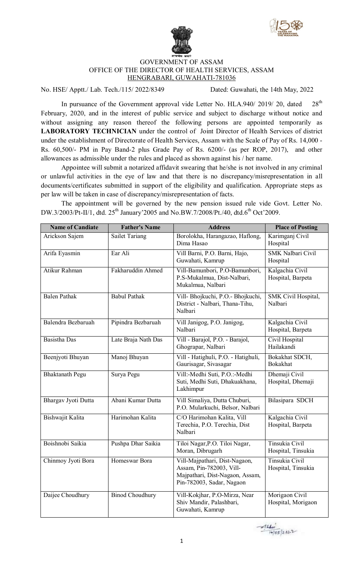



## GOVERNMENT OF ASSAM OFFICE OF THE DIRECTOR OF HEALTH SERVICES, ASSAM HENGRABARI, GUWAHATI-781036

No. HSE/ Apptt./ Lab. Tech./115/ 2022/8349 Dated: Guwahati, the 14th May, 2022

In pursuance of the Government approval vide Letter No. HLA.940/ 2019/ 20, dated 28<sup>th</sup> February, 2020, and in the interest of public service and subject to discharge without notice and without assigning any reason thereof the following persons are appointed temporarily as **LABORATORY TECHNICIAN** under the control of Joint Director of Health Services of district under the establishment of Directorate of Health Services, Assam with the Scale of Pay of Rs. 14,000 - Rs. 60,500/- PM in Pay Band-2 plus Grade Pay of Rs. 6200/- (as per ROP, 2017), and other allowances as admissible under the rules and placed as shown against his / her name.

Appointee will submit a notarized affidavit swearing that he/she is not involved in any criminal or unlawful activities in the eye of law and that there is no discrepancy/misrepresentation in all documents/certificates submitted in support of the eligibility and qualification. Appropriate steps as per law will be taken in case of discrepancy/misrepresentation of facts.

The appointment will be governed by the new pension issued rule vide Govt. Letter No. DW.3/2003/Pt-II/1, dtd. 25<sup>th</sup> January'2005 and No.BW.7/2008/Pt./40, dtd.6<sup>th</sup> Oct'2009.

| <b>Name of Candiate</b> | <b>Father's Name</b>   | <b>Address</b>                                                                                                            | <b>Place of Posting</b>              |
|-------------------------|------------------------|---------------------------------------------------------------------------------------------------------------------------|--------------------------------------|
| Arickson Sajem          | <b>Sailet Tariang</b>  | Borolokha, Harangazao, Haflong,<br>Dima Hasao                                                                             | Karimganj Civil<br>Hospital          |
| Arifa Eyasmin           | Ear Ali                | Vill Barni, P.O. Barni, Hajo,<br>Guwahati, Kamrup                                                                         | <b>SMK Nalbari Civil</b><br>Hospital |
| Atikur Rahman           | Fakharuddin Ahmed      | Vill-Bamunbori, P.O-Bamunbori,<br>P.S-Mukalmua, Dist-Nalbari,<br>Mukalmua, Nalbari                                        | Kalgachia Civil<br>Hospital, Barpeta |
| <b>Balen Pathak</b>     | <b>Babul Pathak</b>    | Vill- Bhojkuchi, P.O.- Bhojkuchi,<br>District - Nalbari, Thana-Tihu,<br>Nalbari                                           | SMK Civil Hospital,<br>Nalbari       |
| Balendra Bezbaruah      | Pipindra Bezbaruah     | Vill Janigog, P.O. Janigog,<br>Nalbari                                                                                    | Kalgachia Civil<br>Hospital, Barpeta |
| <b>Basistha Das</b>     | Late Braja Nath Das    | Vill - Barajol, P.O. - Barajol,<br>Ghograpar, Nalbari                                                                     | Civil Hospital<br>Hailakandi         |
| Beenjyoti Bhuyan        | Manoj Bhuyan           | Vill - Hatighuli, P.O. - Hatighuli,<br>Gaurisagar, Sivasagar                                                              | Bokakhat SDCH,<br><b>Bokakhat</b>    |
| <b>Bhaktanath Pegu</b>  | Surya Pegu             | Vill:-Medhi Suti, P.O.:-Medhi<br>Suti, Medhi Suti, Dhakuakhana,<br>Lakhimpur                                              | Dhemaji Civil<br>Hospital, Dhemaji   |
| Bhargav Jyoti Dutta     | Abani Kumar Dutta      | Vill Simaliya, Dutta Chuburi,<br>P.O. Mularkuchi, Belsor, Nalbari                                                         | Bilasipara SDCH                      |
| Bishwajit Kalita        | Harimohan Kalita       | C/O Harimohan Kalita, Vill<br>Terechia, P.O. Terechia, Dist<br>Nalbari                                                    | Kalgachia Civil<br>Hospital, Barpeta |
| Boishnobi Saikia        | Pushpa Dhar Saikia     | Tiloi Nagar, P.O. Tiloi Nagar,<br>Moran, Dibrugarh                                                                        | Tinsukia Civil<br>Hospital, Tinsukia |
| Chinmoy Jyoti Bora      | Homeswar Bora          | Vill-Majpathari, Dist-Nagaon,<br>Assam, Pin-782003, Vill-<br>Majpathari, Dist-Nagaon, Assam,<br>Pin-782003, Sadar, Nagaon | Tinsukia Civil<br>Hospital, Tinsukia |
| Daijee Choudhury        | <b>Binod Choudhury</b> | Vill-Kokjhar, P.O-Mirza, Near<br>Shiv Mandir, Palashbari,<br>Guwahati, Kamrup                                             | Morigaon Civil<br>Hospital, Morigaon |

 $214$  $14/05/2822$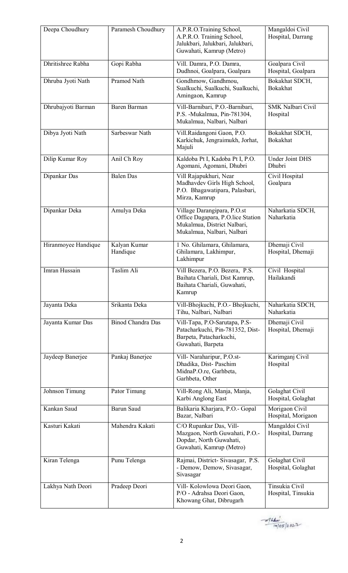| Deepa Choudhury     | Paramesh Choudhury       | A.P.R.O.Training School,<br>A.P.R.O. Training School,<br>Jalukbari, Jalukbari, Jalukbari,<br>Guwahati, Kamrup (Metro)         | Mangaldoi Civil<br>Hospital, Darrang |
|---------------------|--------------------------|-------------------------------------------------------------------------------------------------------------------------------|--------------------------------------|
| Dhritishree Rabha   | Gopi Rabha               | Vill. Damra, P.O. Damra,<br>Dudhnoi, Goalpara, Goalpara                                                                       | Goalpara Civil<br>Hospital, Goalpara |
| Dhruba Jyoti Nath   | Pramod Nath              | Gondhmow, Gandhmou,<br>Sualkuchi, Sualkuchi, Sualkuchi,<br>Amingaon, Kamrup                                                   | Bokakhat SDCH,<br>Bokakhat           |
| Dhrubajyoti Barman  | Baren Barman             | Vill-Barnibari, P.O.-Barnibari,<br>P.S. - Mukalmua, Pin-781304,<br>Mukalmua, Nalbari, Nalbari                                 | <b>SMK Nalbari Civil</b><br>Hospital |
| Dibya Jyoti Nath    | Sarbeswar Nath           | Vill.Raidangoni Gaon, P.O.<br>Karkichuk, Jengraimukh, Jorhat,<br>Majuli                                                       | Bokakhat SDCH,<br><b>Bokakhat</b>    |
| Dilip Kumar Roy     | Anil Ch Roy              | Kaldoba Pt I, Kadoba Pt I, P.O.<br>Agomani, Agomani, Dhubri                                                                   | <b>Under Joint DHS</b><br>Dhubri     |
| Dipankar Das        | <b>Balen</b> Das         | Vill Rajapukhuri, Near<br>Madhavdev Girls High School,<br>P.O. Bhagawatipara, Palasbari,<br>Mirza, Kamrup                     | Civil Hospital<br>Goalpara           |
| Dipankar Deka       | Amulya Deka              | Village Darangipara, P.O.st<br>Office Dagapara, P.O.lice Station<br>Mukalmua, District Nalbari,<br>Mukalmua, Nalbari, Nalbari | Naharkatia SDCH,<br>Naharkatia       |
| Hiranmoyee Handique | Kalyan Kumar<br>Handique | 1 No. Ghilamara, Ghilamara,<br>Ghilamara, Lakhimpur,<br>Lakhimpur                                                             | Dhemaji Civil<br>Hospital, Dhemaji   |
| Imran Hussain       | Taslim Ali               | Vill Bezera, P.O. Bezera, P.S.<br>Baihata Chariali, Dist Kamrup,<br>Baihata Chariali, Guwahati,<br>Kamrup                     | Civil Hospital<br>Hailakandi         |
| Jayanta Deka        | Srikanta Deka            | Vill-Bhojkuchi, P.O.- Bhojkuchi,<br>Tihu, Nalbari, Nalbari                                                                    | Naharkatia SDCH,<br>Naharkatia       |
| Jayanta Kumar Das   | <b>Binod Chandra Das</b> | Vill-Tapa, P.O-Sarutapa, P.S-<br>Patacharkuchi, Pin-781352, Dist-<br>Barpeta, Patacharkuchi,<br>Guwahati, Barpeta             | Dhemaji Civil<br>Hospital, Dhemaji   |
| Jaydeep Banerjee    | Pankaj Banerjee          | Vill-Naraharipur, P.O.st-<br>Dhadika, Dist-Paschim<br>MidnaP.O.re, Garhbeta,<br>Garhbeta, Other                               | Karimganj Civil<br>Hospital          |
| Johnson Timung      | Pator Timung             | Vill-Rong Ali, Manja, Manja,<br>Karbi Anglong East                                                                            | Golaghat Civil<br>Hospital, Golaghat |
| Kankan Saud         | <b>Barun Saud</b>        | Balikaria Kharjara, P.O.- Gopal<br>Bazar, Nalbari                                                                             | Morigaon Civil<br>Hospital, Morigaon |
| Kasturi Kakati      | Mahendra Kakati          | C/O Rupankar Das, Vill-<br>Mazgaon, North Guwahati, P.O.-<br>Dopdar, North Guwahati,<br>Guwahati, Kamrup (Metro)              | Mangaldoi Civil<br>Hospital, Darrang |
| Kiran Telenga       | Punu Telenga             | Rajmai, District-Sivasagar, P.S.<br>- Demow, Demow, Sivasagar,<br>Sivasagar                                                   | Golaghat Civil<br>Hospital, Golaghat |
| Lakhya Nath Deori   | Pradeep Deori            | Vill- Kolowlowa Deori Gaon,<br>P/O - Adrahsa Deori Gaon,<br>Khowang Ghat, Dibrugarh                                           | Tinsukia Civil<br>Hospital, Tinsukia |

 $-41460$ <br>14/05/2822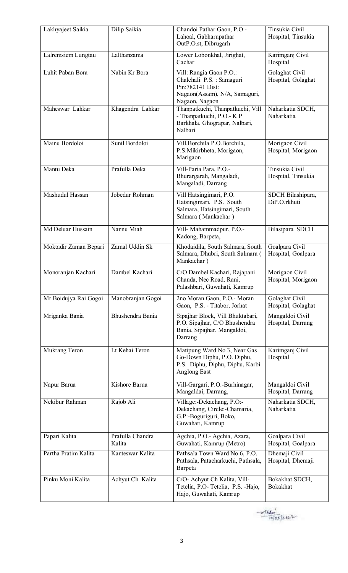| Lakhyajeet Saikia     | Dilip Saikia               | Chandoi Pathar Gaon, P.O -<br>Lahoal, Gabharupathar<br>OutP.O.st, Dibrugarh                                                | Tinsukia Civil<br>Hospital, Tinsukia |
|-----------------------|----------------------------|----------------------------------------------------------------------------------------------------------------------------|--------------------------------------|
| Lalremsiem Lungtau    | Lalthanzama                | Lower Lobonkhal, Jirighat,<br>Cachar                                                                                       | Karimganj Civil<br>Hospital          |
| Luhit Paban Bora      | Nabin Kr Bora              | Vill: Rangia Gaon P.O.:<br>Chalchali P.S.: Samaguri<br>Pin:782141 Dist:<br>Nagaon(Assam), N/A, Samaguri,<br>Nagaon, Nagaon | Golaghat Civil<br>Hospital, Golaghat |
| Maheswar Lahkar       | Khagendra Lahkar           | Thanpatkuchi, Thanpatkuchi, Vill<br>- Thanpatkuchi, P.O.- K P<br>Barkhala, Ghograpar, Nalbari,<br>Nalbari                  | Naharkatia SDCH,<br>Naharkatia       |
| Mainu Bordoloi        | Sunil Bordoloi             | Vill.Borchila P.O.Borchila,<br>P.S.Mikirbheta, Morigaon,<br>Marigaon                                                       | Morigaon Civil<br>Hospital, Morigaon |
| Mantu Deka            | Prafulla Deka              | Vill-Paria Para, P.O.-<br>Bhurargarah, Mangaladi,<br>Mangaladi, Darrang                                                    | Tinsukia Civil<br>Hospital, Tinsukia |
| Mashudul Hassan       | Jobedur Rohman             | Vill Hatsingimari, P.O.<br>Hatsingimari, P.S. South<br>Salmara, Hatsingimari, South<br>Salmara (Mankachar)                 | SDCH Bilashipara,<br>DiP.O.rkhuti    |
| Md Deluar Hussain     | Nannu Miah                 | Vill- Mahammadpur, P.O.-<br>Kadong, Barpeta,                                                                               | Bilasipara SDCH                      |
| Moktadir Zaman Bepari | Zamal Uddin Sk             | Khodaidila, South Salmara, South<br>Salmara, Dhubri, South Salmara (<br>Mankachar)                                         | Goalpara Civil<br>Hospital, Goalpara |
| Monoranjan Kachari    | Dambel Kachari             | C/O Dambel Kachari, Rajapani<br>Chanda, Nec Road, Rani,<br>Palashbari, Guwahati, Kamrup                                    | Morigaon Civil<br>Hospital, Morigaon |
| Mr Boidujya Rai Gogoi | Manobranjan Gogoi          | 2no Moran Gaon, P.O.- Moran<br>Gaon, P.S. - Titabor, Jorhat                                                                | Golaghat Civil<br>Hospital, Golaghat |
| Mriganka Bania        | Bhushendra Bania           | Sipajhar Block, Vill Bhuktabari,<br>P.O. Sipajhar, C/O Bhushendra<br>Bania, Sipajhar, Mangaldoi,<br>Darrang                | Mangaldoi Civil<br>Hospital, Darrang |
| Mukrang Teron         | Lt Kehai Teron             | Matipung Ward No 3, Near Gas<br>Go-Down Diphu, P.O. Diphu,<br>P.S. Diphu, Diphu, Diphu, Karbi<br><b>Anglong East</b>       | Karimganj Civil<br>Hospital          |
| Napur Barua           | Kishore Barua              | Vill-Gargari, P.O.-Burhinagar,<br>Mangaldai, Darrang,                                                                      | Mangaldoi Civil<br>Hospital, Darrang |
| Nekibur Rahman        | Rajob Ali                  | Village:-Dekachang, P.O:-<br>Dekachang, Circle:-Chamaria,<br>G.P:-Boguriguri, Boko,<br>Guwahati, Kamrup                    | Naharkatia SDCH,<br>Naharkatia       |
| Papari Kalita         | Prafulla Chandra<br>Kalita | Agchia, P.O.- Agchia, Azara,<br>Guwahati, Kamrup (Metro)                                                                   | Goalpara Civil<br>Hospital, Goalpara |
| Partha Pratim Kalita  | Kanteswar Kalita           | Pathsala Town Ward No 6, P.O.<br>Pathsala, Patacharkuchi, Pathsala,<br>Barpeta                                             | Dhemaji Civil<br>Hospital, Dhemaji   |
| Pinku Moni Kalita     | Achyut Ch Kalita           | C/O- Achyut Ch Kalita, Vill-<br>Tetelia, P.O-Tetelia, P.S. - Hajo,<br>Hajo, Guwahati, Kamrup                               | Bokakhat SDCH,<br>Bokakhat           |

 $-414m$ <br> $(4/05)2822$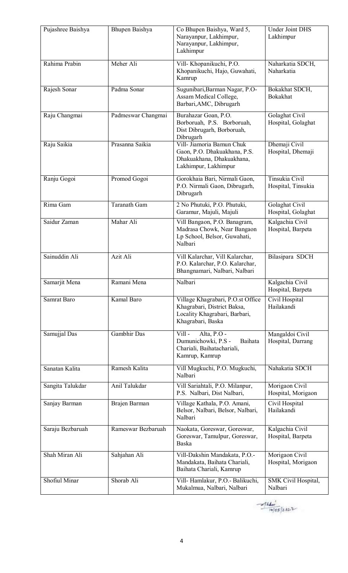| Pujashree Baishya | Bhupen Baishya      | Co Bhupen Baishya, Ward 5,<br>Narayanpur, Lakhimpur,<br>Narayanpur, Lakhimpur,<br>Lakhimpur                            | <b>Under Joint DHS</b><br>Lakhimpur   |
|-------------------|---------------------|------------------------------------------------------------------------------------------------------------------------|---------------------------------------|
| Rahima Prabin     | Meher Ali           | Vill- Khopanikuchi, P.O.<br>Khopanikuchi, Hajo, Guwahati,<br>Kamrup                                                    | Naharkatia SDCH,<br>Naharkatia        |
| Rajesh Sonar      | Padma Sonar         | Sugunibari, Barman Nagar, P.O-<br>Assam Medical College,<br>Barbari, AMC, Dibrugarh                                    | Bokakhat SDCH,<br>Bokakhat            |
| Raju Changmai     | Padmeswar Changmai  | Burahazar Goan, P.O.<br>Borboruah, P.S. Borboruah,<br>Dist Dibrugarh, Borboruah,<br>Dibrugarh                          | Golaghat Civil<br>Hospital, Golaghat  |
| Raju Saikia       | Prasanna Saikia     | Vill- Jiamoria Bamun Chuk<br>Gaon, P.O. Dhakuakhana, P.S.<br>Dhakuakhana, Dhakuakhana,<br>Lakhimpur, Lakhimpur         | Dhemaji Civil<br>Hospital, Dhemaji    |
| Ranju Gogoi       | Promod Gogoi        | Gorokhaia Bari, Nirmali Gaon,<br>P.O. Nirmali Gaon, Dibrugarh,<br>Dibrugarh                                            | Tinsukia Civil<br>Hospital, Tinsukia  |
| Rima Gam          | <b>Taranath Gam</b> | 2 No Phutuki, P.O. Phutuki,<br>Garamur, Majuli, Majuli                                                                 | Golaghat Civil<br>Hospital, Golaghat  |
| Saidur Zaman      | Mahar Ali           | Vill Bangaon, P.O. Banagram,<br>Madrasa Chowk, Near Bangaon<br>Lp School, Belsor, Guwahati,<br>Nalbari                 | Kalgachia Civil<br>Hospital, Barpeta  |
| Sainuddin Ali     | Azit Ali            | Vill Kalarchar, Vill Kalarchar,<br>P.O. Kalarchar, P.O. Kalarchar,<br>Bhangnamari, Nalbari, Nalbari                    | Bilasipara SDCH                       |
| Samarjit Mena     | Ramani Mena         | Nalbari                                                                                                                | Kalgachia Civil<br>Hospital, Barpeta  |
| Samrat Baro       | Kamal Baro          | Village Khagrabari, P.O.st Office<br>Khagrabari, District Baksa,<br>Locality Khagrabari, Barbari,<br>Khagrabari, Baska | Civil Hospital<br>Hailakandi          |
| Samujjal Das      | Gambhir Das         | Alta, P.O -<br>Vill-<br>Dumunichowki, P.S -<br>Baihata<br>Chariali, Baihatachariali,<br>Kamrup, Kamrup                 | Mangaldoi Civil<br>Hospital, Darrang  |
| Sanatan Kalita    | Ramesh Kalita       | Vill Mugkuchi, P.O. Mugkuchi,<br>Nalbari                                                                               | Nahakatia SDCH                        |
| Sangita Talukdar  | Anil Talukdar       | Vill Sariahtali, P.O. Milanpur,<br>P.S. Nalbari, Dist Nalbari,                                                         | Morigaon Civil<br>Hospital, Morigaon  |
| Sanjay Barman     | Brajen Barman       | Village Kathala, P.O. Amani,<br>Belsor, Nalbari, Belsor, Nalbari,<br>Nalbari                                           | Civil Hospital<br>Hailakandi          |
| Saraju Bezbaruah  | Rameswar Bezbaruah  | Naokata, Goreswar, Goreswar,<br>Goreswar, Tamulpur, Goreswar,<br>Baska                                                 | Kalgachia Civil<br>Hospital, Barpeta  |
| Shah Miran Ali    | Sahjahan Ali        | Vill-Dakshin Mandakata, P.O.-<br>Mandakata, Baihata Chariali,<br>Baihata Chariali, Kamrup                              | Morigaon Civil<br>Hospital, Morigaon  |
| Shofiul Minar     | Shorab Ali          | Vill-Hamlakur, P.O.-Balikuchi,<br>Mukalmua, Nalbari, Nalbari                                                           | <b>SMK Civil Hospital,</b><br>Nalbari |

 $-4141...$